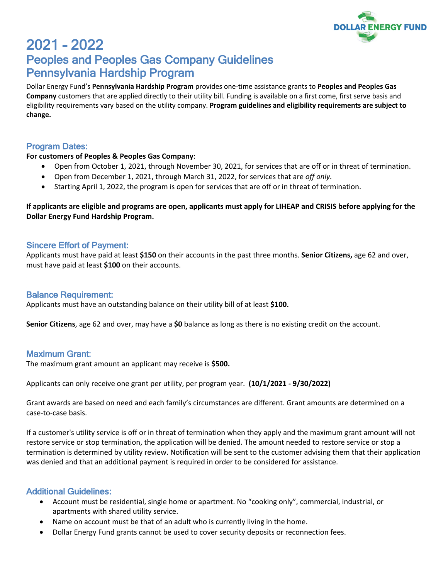

# 2021 – 2022 Peoples and Peoples Gas Company Guidelines Pennsylvania Hardship Program

Dollar Energy Fund's **Pennsylvania Hardship Program** provides one-time assistance grants to **Peoples and Peoples Gas Company** customers that are applied directly to their utility bill. Funding is available on a first come, first serve basis and eligibility requirements vary based on the utility company. **Program guidelines and eligibility requirements are subject to change.**

## Program Dates:

#### **For customers of Peoples & Peoples Gas Company**:

- Open from October 1, 2021, through November 30, 2021, for services that are off or in threat of termination.
- Open from December 1, 2021, through March 31, 2022, for services that are *off only.*
- Starting April 1, 2022, the program is open for services that are off or in threat of termination.

**If applicants are eligible and programs are open, applicants must apply for LIHEAP and CRISIS before applying for the Dollar Energy Fund Hardship Program.**

## Sincere Effort of Payment:

Applicants must have paid at least **\$150** on their accounts in the past three months. **Senior Citizens,** age 62 and over, must have paid at least **\$100** on their accounts.

## Balance Requirement:

Applicants must have an outstanding balance on their utility bill of at least **\$100.**

**Senior Citizens**, age 62 and over, may have a **\$0** balance as long as there is no existing credit on the account.

## Maximum Grant:

The maximum grant amount an applicant may receive is **\$500.**

Applicants can only receive one grant per utility, per program year. **(10/1/2021 - 9/30/2022)**

Grant awards are based on need and each family's circumstances are different. Grant amounts are determined on a case-to-case basis.

If a customer's utility service is off or in threat of termination when they apply and the maximum grant amount will not restore service or stop termination, the application will be denied. The amount needed to restore service or stop a termination is determined by utility review. Notification will be sent to the customer advising them that their application was denied and that an additional payment is required in order to be considered for assistance.

## Additional Guidelines:

- Account must be residential, single home or apartment. No "cooking only", commercial, industrial, or apartments with shared utility service.
- Name on account must be that of an adult who is currently living in the home.
- Dollar Energy Fund grants cannot be used to cover security deposits or reconnection fees.